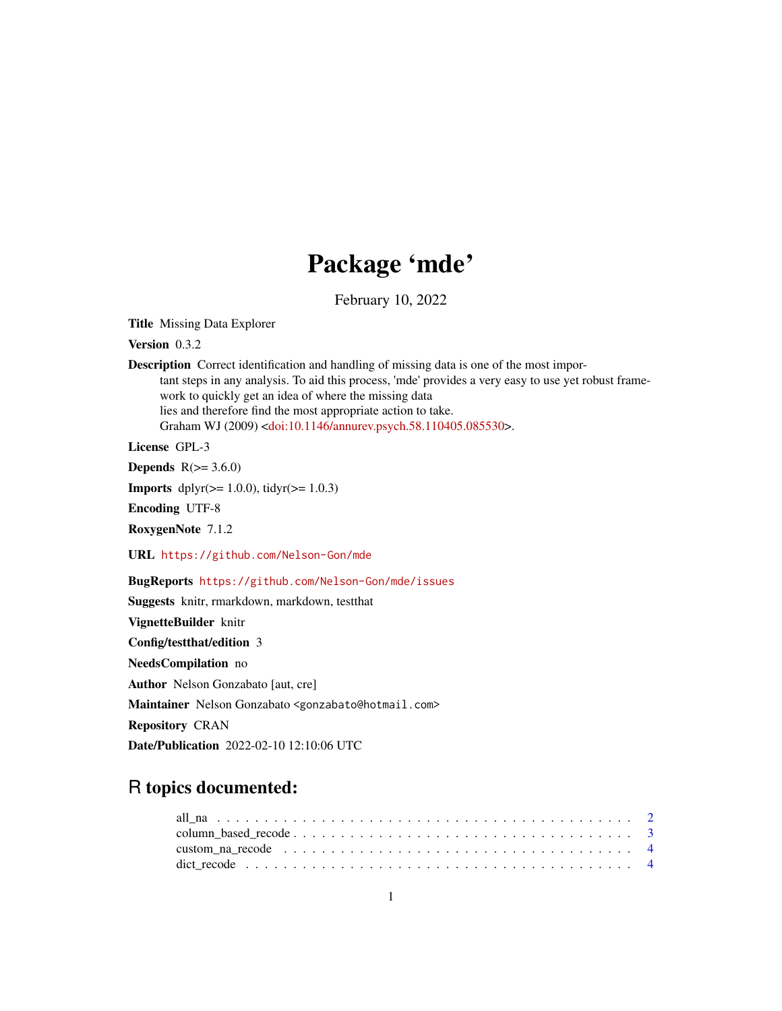# Package 'mde'

February 10, 2022

Title Missing Data Explorer

Version 0.3.2

Description Correct identification and handling of missing data is one of the most important steps in any analysis. To aid this process, 'mde' provides a very easy to use yet robust framework to quickly get an idea of where the missing data lies and therefore find the most appropriate action to take. Graham WJ (2009) [<doi:10.1146/annurev.psych.58.110405.085530>](https://doi.org/10.1146/annurev.psych.58.110405.085530).

License GPL-3

**Depends**  $R(>= 3.6.0)$ 

**Imports** dplyr( $>= 1.0.0$ ), tidyr( $>= 1.0.3$ )

Encoding UTF-8

RoxygenNote 7.1.2

URL <https://github.com/Nelson-Gon/mde>

BugReports <https://github.com/Nelson-Gon/mde/issues>

Suggests knitr, rmarkdown, markdown, testthat

VignetteBuilder knitr

Config/testthat/edition 3

NeedsCompilation no

Author Nelson Gonzabato [aut, cre]

Maintainer Nelson Gonzabato <gonzabato@hotmail.com>

Repository CRAN

Date/Publication 2022-02-10 12:10:06 UTC

# R topics documented: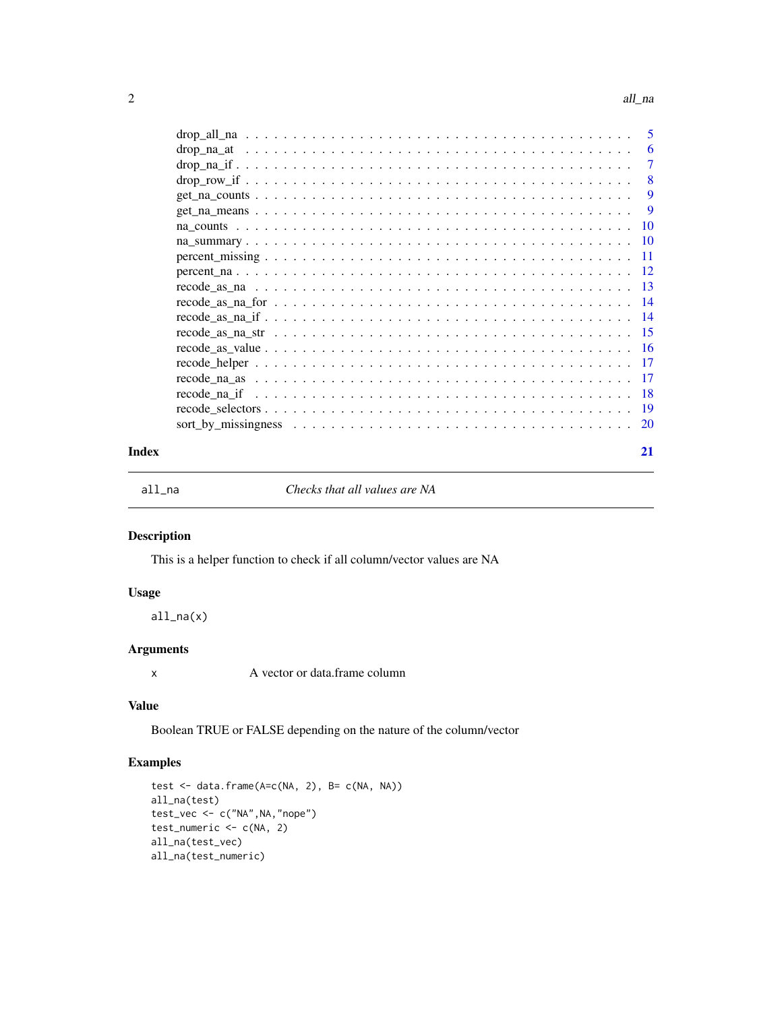#### <span id="page-1-0"></span>2 all\_na

|       | $drop\_na\_if$                                                                                                                                          | $\overline{7}$            |
|-------|---------------------------------------------------------------------------------------------------------------------------------------------------------|---------------------------|
|       | $drop_{\_}row_{\_}if \_ \ldots \_ \ldots \_ \ldots \_ \ldots \_ \ldots \_ \ldots \ldots \ldots \ldots \ldots \ldots \ldots \ldots \ldots \ldots \ldots$ | $\overline{\phantom{0}}8$ |
|       |                                                                                                                                                         | -9                        |
|       |                                                                                                                                                         | -9                        |
|       |                                                                                                                                                         |                           |
|       |                                                                                                                                                         |                           |
|       |                                                                                                                                                         |                           |
|       |                                                                                                                                                         |                           |
|       |                                                                                                                                                         |                           |
|       | $\text{recode\_as\_na\_for} \dots \dots \dots \dots \dots \dots \dots \dots \dots \dots \dots \dots \dots \dots \dots \dots \dots \dots$                |                           |
|       |                                                                                                                                                         |                           |
|       |                                                                                                                                                         |                           |
|       |                                                                                                                                                         |                           |
|       |                                                                                                                                                         |                           |
|       |                                                                                                                                                         |                           |
|       |                                                                                                                                                         |                           |
|       |                                                                                                                                                         |                           |
|       |                                                                                                                                                         |                           |
| Index |                                                                                                                                                         | 21                        |

all\_na *Checks that all values are NA*

# Description

This is a helper function to check if all column/vector values are NA

# Usage

 $all_na(x)$ 

# Arguments

x A vector or data.frame column

# Value

Boolean TRUE or FALSE depending on the nature of the column/vector

```
test <- data.frame(A=c(NA, 2), B= c(NA, NA))
all_na(test)
test_vec <- c("NA",NA,"nope")
test_numeric <- c(NA, 2)
all_na(test_vec)
all_na(test_numeric)
```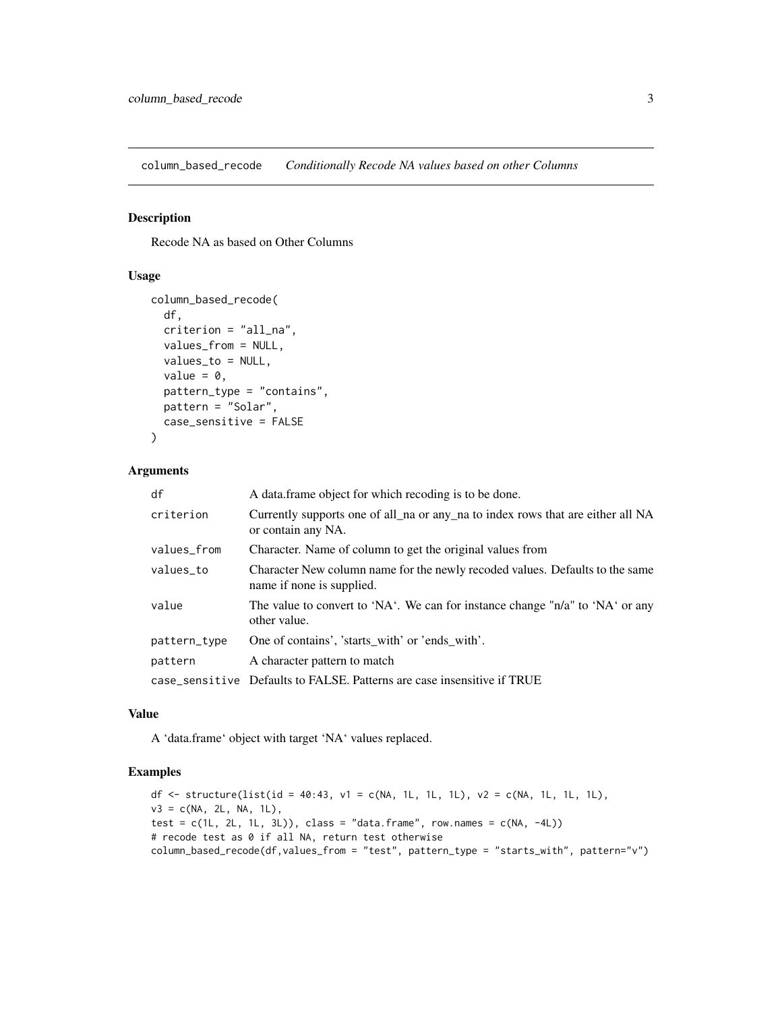<span id="page-2-0"></span>column\_based\_recode *Conditionally Recode NA values based on other Columns*

# Description

Recode NA as based on Other Columns

#### Usage

```
column_based_recode(
  df,
  criterion = "all_na",
  values_from = NULL,
  values_to = NULL,
  value = \theta,
  pattern_type = "contains",
 pattern = "Solar",
  case_sensitive = FALSE
)
```
# Arguments

| df           | A data frame object for which recoding is to be done.                                                     |
|--------------|-----------------------------------------------------------------------------------------------------------|
| criterion    | Currently supports one of all na or any na to index rows that are either all NA<br>or contain any NA.     |
| values_from  | Character. Name of column to get the original values from                                                 |
| values to    | Character New column name for the newly recoded values. Defaults to the same<br>name if none is supplied. |
| value        | The value to convert to 'NA'. We can for instance change " $n/a$ " to 'NA' or any<br>other value.         |
| pattern_type | One of contains', 'starts_with' or 'ends_with'.                                                           |
| pattern      | A character pattern to match                                                                              |
|              | case_sensitive Defaults to FALSE. Patterns are case insensitive if TRUE                                   |

#### Value

A 'data.frame' object with target 'NA' values replaced.

```
df <- structure(list(id = 40:43, v1 = c(NA, 1L, 1L, 1L), v2 = c(NA, 1L, 1L, 1L),
v3 = c(NA, 2L, NA, 1L),
test = c(1L, 2L, 1L, 3L), class = "data.frame", row.names = c(NA, -4L))
# recode test as 0 if all NA, return test otherwise
column_based_recode(df,values_from = "test", pattern_type = "starts_with", pattern="v")
```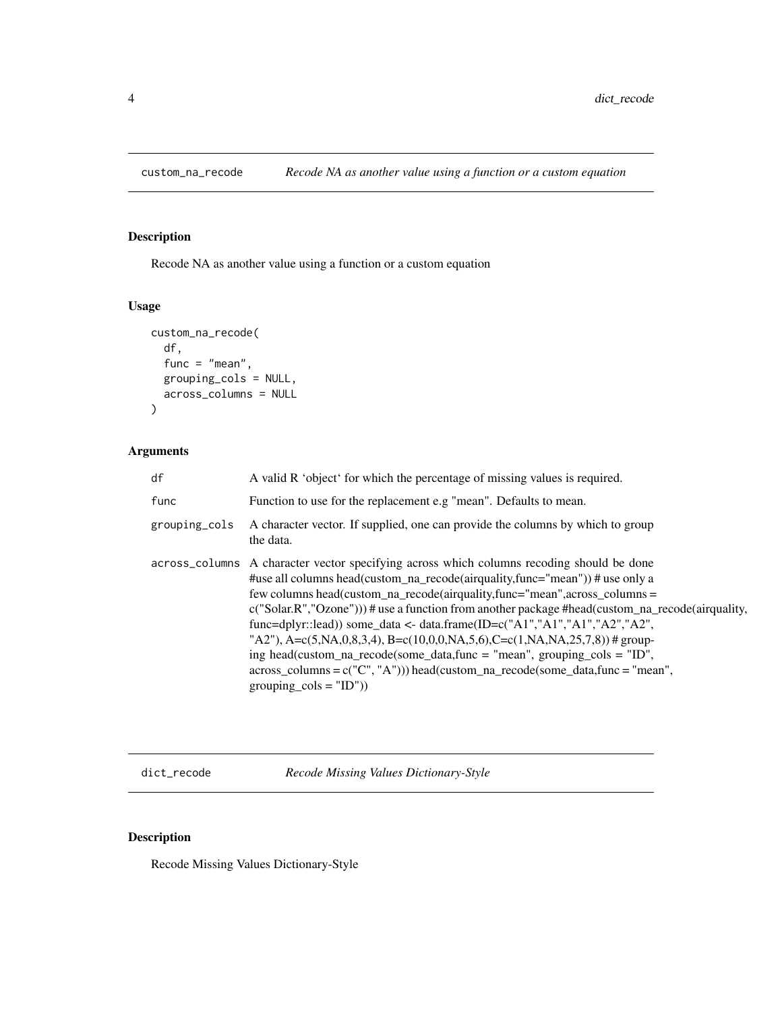<span id="page-3-0"></span>

Recode NA as another value using a function or a custom equation

# Usage

```
custom_na_recode(
  df,
  func = "mean",
 grouping_cols = NULL,
  across_columns = NULL
)
```
# Arguments

| df            | A valid R 'object' for which the percentage of missing values is required.                                                                                                                                                                                                                                                                                                                                                                                                                                                                                                                                                                                                                                                  |
|---------------|-----------------------------------------------------------------------------------------------------------------------------------------------------------------------------------------------------------------------------------------------------------------------------------------------------------------------------------------------------------------------------------------------------------------------------------------------------------------------------------------------------------------------------------------------------------------------------------------------------------------------------------------------------------------------------------------------------------------------------|
| func          | Function to use for the replacement e.g "mean". Defaults to mean.                                                                                                                                                                                                                                                                                                                                                                                                                                                                                                                                                                                                                                                           |
| grouping_cols | A character vector. If supplied, one can provide the columns by which to group<br>the data.                                                                                                                                                                                                                                                                                                                                                                                                                                                                                                                                                                                                                                 |
|               | across_columns A character vector specifying across which columns recoding should be done<br># use all columns head (custom_na_recode (airquality, func="mean")) # use only a<br>few columns head(custom_na_recode(airquality,func="mean",across_columns =<br>$c("Solar.R", "Ozone"))$ # use a function from another package #head(custom_na_recode(airquality,<br>func=dplyr::lead)) some_data <- data.frame(ID=c("A1","A1","A1","A2","A2",<br>"A2"), A=c(5,NA,0,8,3,4), B=c(10,0,0,NA,5,6),C=c(1,NA,NA,25,7,8)) # group-<br>ing head(custom_na_recode(some_data,func = "mean", grouping_cols = "ID",<br>$across\_columns = c("C", "A"))$ head(custom_na_recode(some_data,func = "mean",<br>grouping $\text{cols} = "ID")$ |

dict\_recode *Recode Missing Values Dictionary-Style*

# Description

Recode Missing Values Dictionary-Style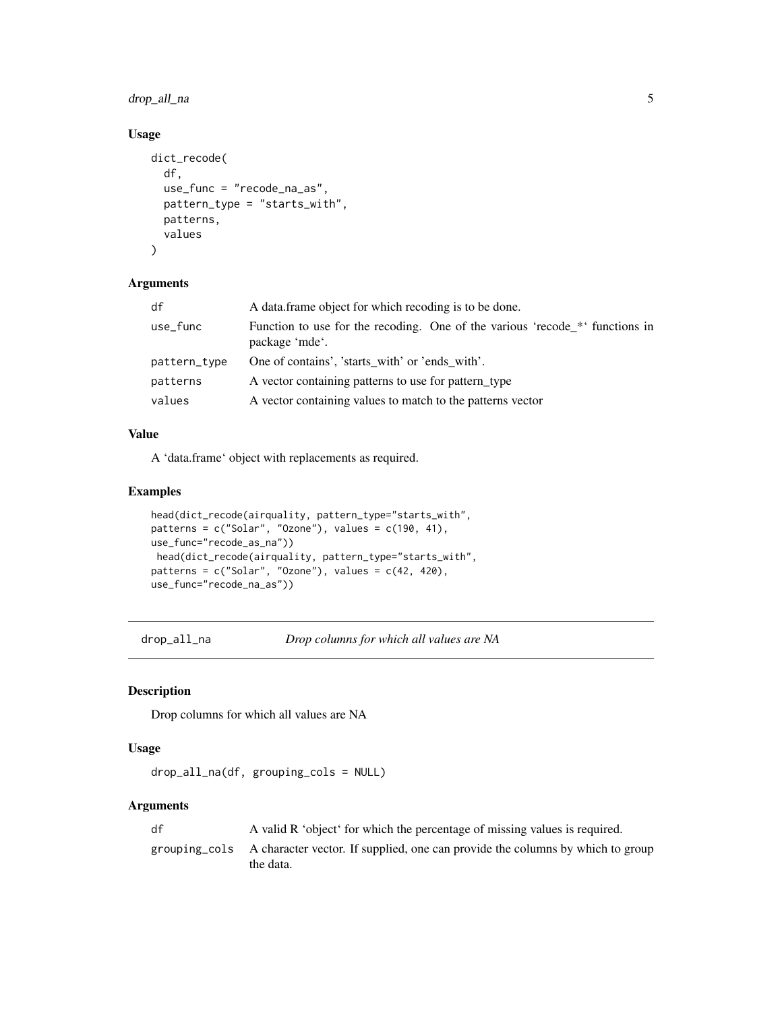# <span id="page-4-0"></span>drop\_all\_na 5

# Usage

```
dict_recode(
  df,
  use_func = "recode_na_as",
 pattern_type = "starts_with",
 patterns,
 values
)
```
#### Arguments

| df           | A data frame object for which recoding is to be done.                                          |
|--------------|------------------------------------------------------------------------------------------------|
| use_func     | Function to use for the recoding. One of the various 'recode_*' functions in<br>package 'mde'. |
| pattern_type | One of contains', 'starts with' or 'ends with'.                                                |
| patterns     | A vector containing patterns to use for pattern type                                           |
| values       | A vector containing values to match to the patterns vector                                     |

#### Value

A 'data.frame' object with replacements as required.

# Examples

```
head(dict_recode(airquality, pattern_type="starts_with",
patterns = c("Solar", "Ozone"), values = <math>c(190, 41),use_func="recode_as_na"))
head(dict_recode(airquality, pattern_type="starts_with",
patterns = c("Solar", "Ozone"), values = c(42, 420),
use_func="recode_na_as"))
```
drop\_all\_na *Drop columns for which all values are NA*

#### Description

Drop columns for which all values are NA

#### Usage

```
drop_all_na(df, grouping_cols = NULL)
```
#### Arguments

| df | A valid R 'object' for which the percentage of missing values is required.                                |
|----|-----------------------------------------------------------------------------------------------------------|
|    | grouping cols A character vector. If supplied, one can provide the columns by which to group<br>the data. |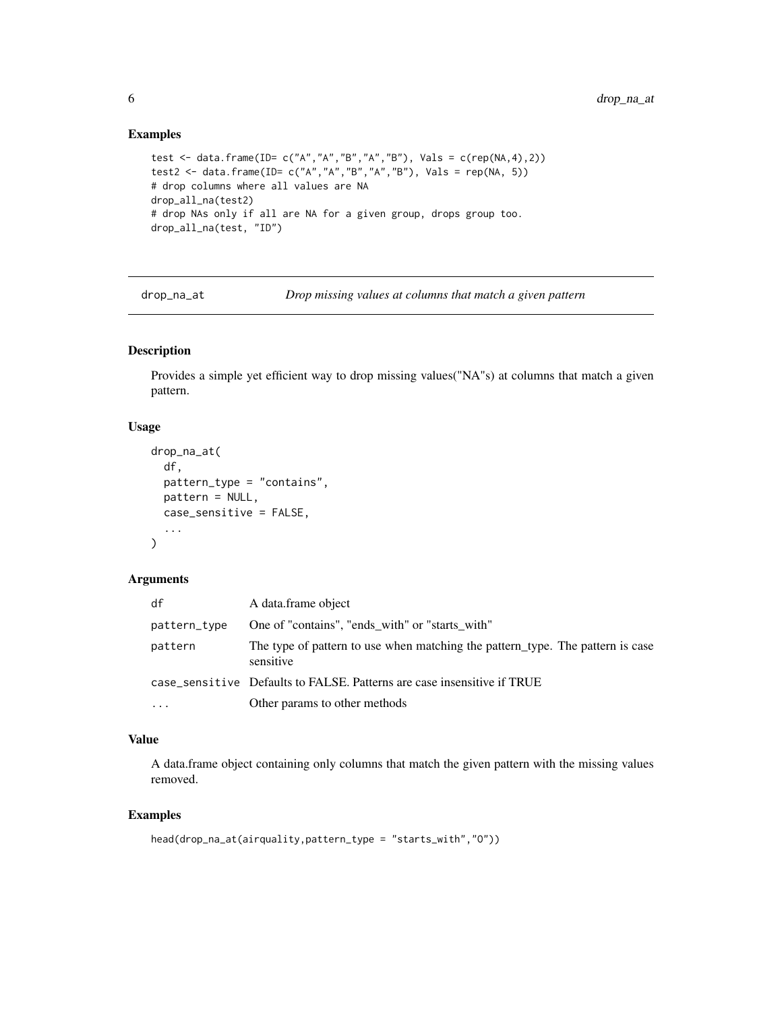# Examples

```
test <- data.frame(ID= c("A","A","B","A","B"), Vals = c(rep(NA,4),2))
test2 <- data.frame(ID= c("A","A","B","A","B"), Vals = rep(NA, 5))
# drop columns where all values are NA
drop_all_na(test2)
# drop NAs only if all are NA for a given group, drops group too.
drop_all_na(test, "ID")
```
drop\_na\_at *Drop missing values at columns that match a given pattern*

# Description

Provides a simple yet efficient way to drop missing values("NA"s) at columns that match a given pattern.

#### Usage

```
drop_na_at(
  df,
 pattern_type = "contains",
 pattern = NULL,
 case_sensitive = FALSE,
  ...
\lambda
```
#### Arguments

| df           | A data frame object                                                                         |
|--------------|---------------------------------------------------------------------------------------------|
| pattern_type | One of "contains", "ends with" or "starts with"                                             |
| pattern      | The type of pattern to use when matching the pattern_type. The pattern is case<br>sensitive |
|              | case_sensitive Defaults to FALSE. Patterns are case insensitive if TRUE                     |
| $\cdot$      | Other params to other methods                                                               |

# Value

A data.frame object containing only columns that match the given pattern with the missing values removed.

```
head(drop_na_at(airquality,pattern_type = "starts_with","O"))
```
<span id="page-5-0"></span>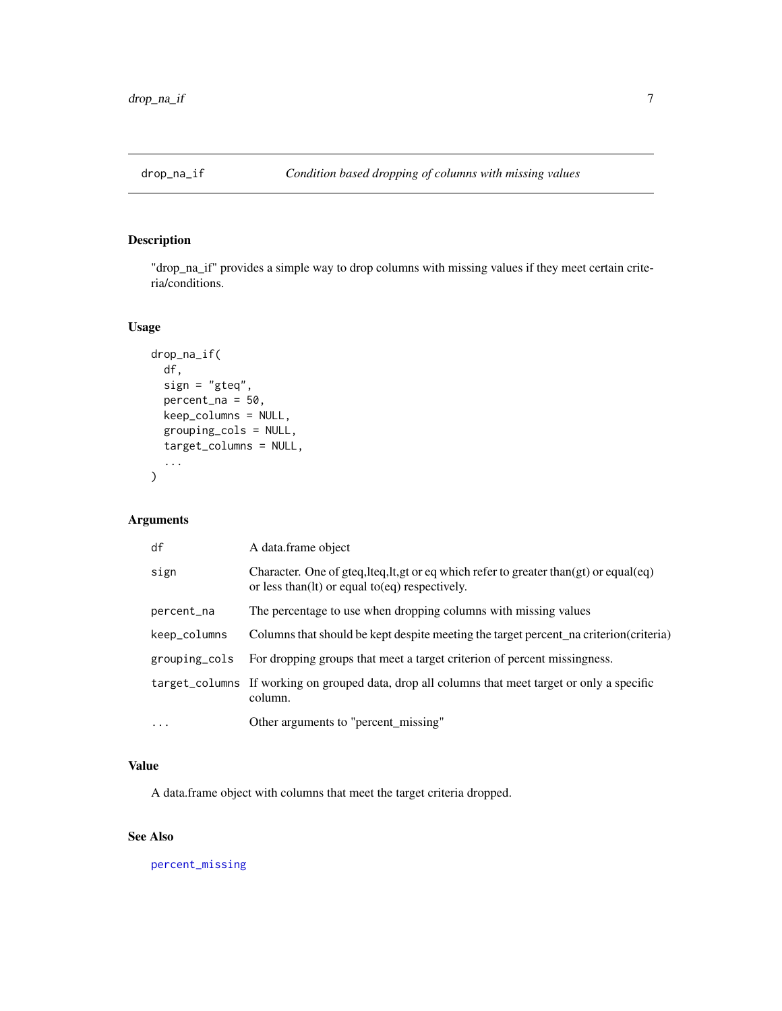<span id="page-6-0"></span>

"drop\_na\_if" provides a simple way to drop columns with missing values if they meet certain criteria/conditions.

# Usage

```
drop_na_if(
  df,
  sign = "gteq",
 percent_na = 50,
 keep_columns = NULL,
  grouping_cols = NULL,
  target_columns = NULL,
  ...
)
```
# Arguments

| df            | A data frame object                                                                                                                                 |
|---------------|-----------------------------------------------------------------------------------------------------------------------------------------------------|
| sign          | Character. One of gteq, lteq, lt, gt or eq which refer to greater than $gt)$ or equal $eq)$<br>or less than $(1t)$ or equal to $(eq)$ respectively. |
| percent_na    | The percentage to use when dropping columns with missing values                                                                                     |
| keep_columns  | Columns that should be kept despite meeting the target percent_na criterion(criteria)                                                               |
| grouping_cols | For dropping groups that meet a target criterion of percent missingness.                                                                            |
|               | target_columns If working on grouped data, drop all columns that meet target or only a specific<br>column.                                          |
| $\cdots$      | Other arguments to "percent_missing"                                                                                                                |

# Value

A data.frame object with columns that meet the target criteria dropped.

# See Also

[percent\\_missing](#page-10-1)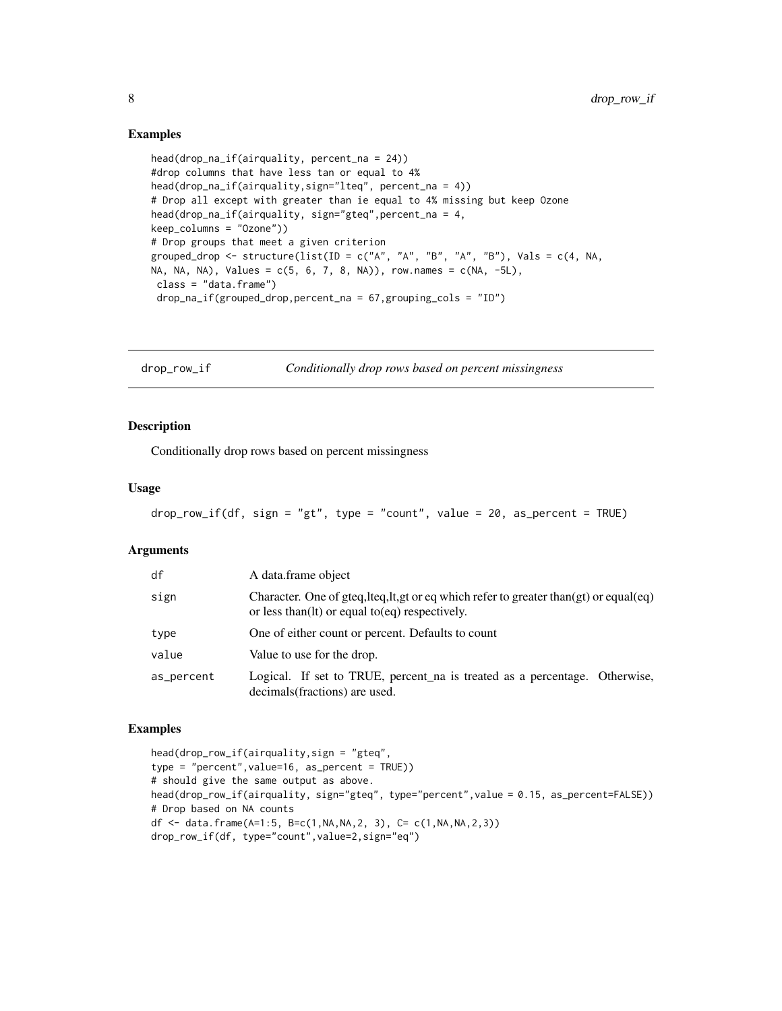#### Examples

```
head(drop_na_if(airquality, percent_na = 24))
#drop columns that have less tan or equal to 4%
head(drop_na_if(airquality,sign="lteq", percent_na = 4))
# Drop all except with greater than ie equal to 4% missing but keep Ozone
head(drop_na_if(airquality, sign="gteq",percent_na = 4,
keep_columns = "Ozone"))
# Drop groups that meet a given criterion
grouped_drop <- structure(list(ID = c("A", "A", "B", "A", "B"), Vals = c(4, NA,
NA, NA, NA), Values = c(5, 6, 7, 8, NA), row.names = c(NA, -5L),
class = "data.frame")
 drop_na_if(grouped_drop,percent_na = 67,grouping_cols = "ID")
```
drop\_row\_if *Conditionally drop rows based on percent missingness*

#### Description

Conditionally drop rows based on percent missingness

#### Usage

```
drop_{row\_if(df, sign = "gt", type = "count", value = 20, as_{percent} = TRUE)
```
#### Arguments

| df         | A data frame object                                                                                                                                 |
|------------|-----------------------------------------------------------------------------------------------------------------------------------------------------|
| sign       | Character. One of gteq, lteq, lt, gt or eq which refer to greater than $gt)$ or equal $eq)$<br>or less than $(1t)$ or equal to $(eq)$ respectively. |
| type       | One of either count or percent. Defaults to count                                                                                                   |
| value      | Value to use for the drop.                                                                                                                          |
| as_percent | Logical. If set to TRUE, percent na is treated as a percentage. Otherwise,<br>decimals (fractions) are used.                                        |

```
head(drop_row_if(airquality,sign = "gteq",
type = "percent",value=16, as_percent = TRUE))
# should give the same output as above.
head(drop_row_if(airquality, sign="gteq", type="percent",value = 0.15, as_percent=FALSE))
# Drop based on NA counts
df <- data.frame(A=1:5, B=c(1,NA,NA,2, 3), C= c(1,NA,NA,2,3))
drop_row_if(df, type="count",value=2,sign="eq")
```
<span id="page-7-0"></span>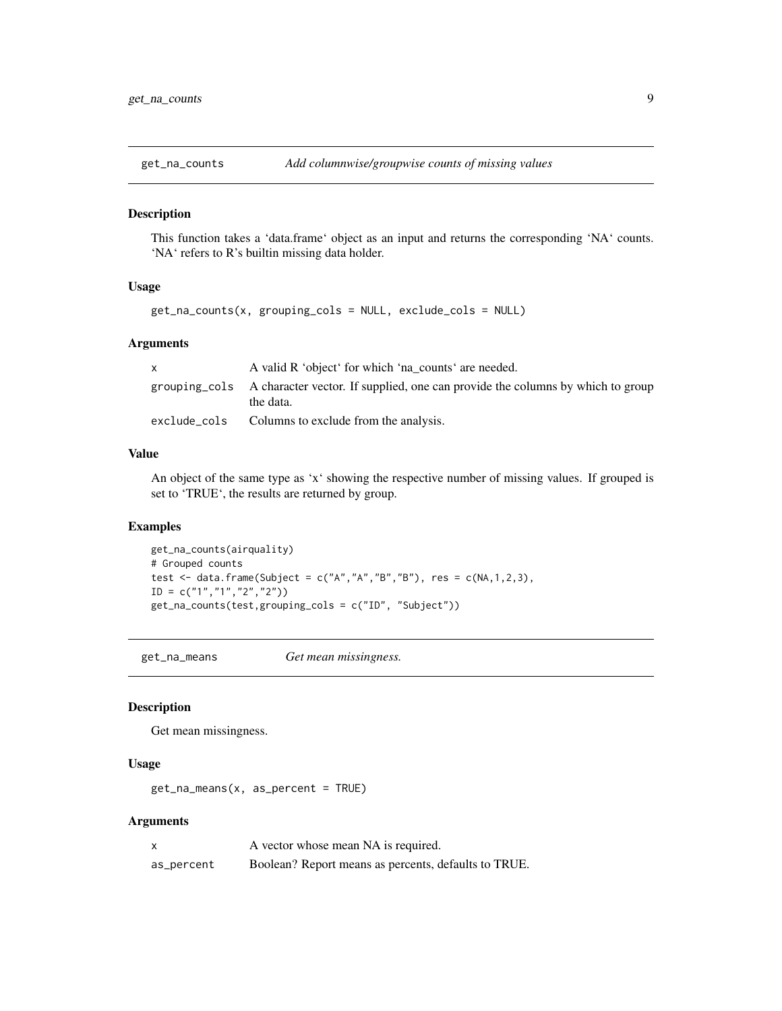<span id="page-8-1"></span><span id="page-8-0"></span>

This function takes a 'data.frame' object as an input and returns the corresponding 'NA' counts. 'NA' refers to R's builtin missing data holder.

#### Usage

```
get_na_counts(x, grouping_cols = NULL, exclude_cols = NULL)
```
#### Arguments

| A valid R 'object' for which 'na_counts' are needed.                                                      |
|-----------------------------------------------------------------------------------------------------------|
| grouping cols A character vector. If supplied, one can provide the columns by which to group<br>the data. |
| exclude_cols Columns to exclude from the analysis.                                                        |

#### Value

An object of the same type as 'x' showing the respective number of missing values. If grouped is set to 'TRUE', the results are returned by group.

# Examples

```
get_na_counts(airquality)
# Grouped counts
test \le data.frame(Subject = c("A","A","B","B"), res = c(NA,1,2,3),
ID = c("1", "1", "2", "2")get_na_counts(test,grouping_cols = c("ID", "Subject"))
```
get\_na\_means *Get mean missingness.*

#### Description

Get mean missingness.

# Usage

```
get_na_means(x, as_percent = TRUE)
```
#### Arguments

|            | A vector whose mean NA is required.                  |
|------------|------------------------------------------------------|
| as_percent | Boolean? Report means as percents, defaults to TRUE. |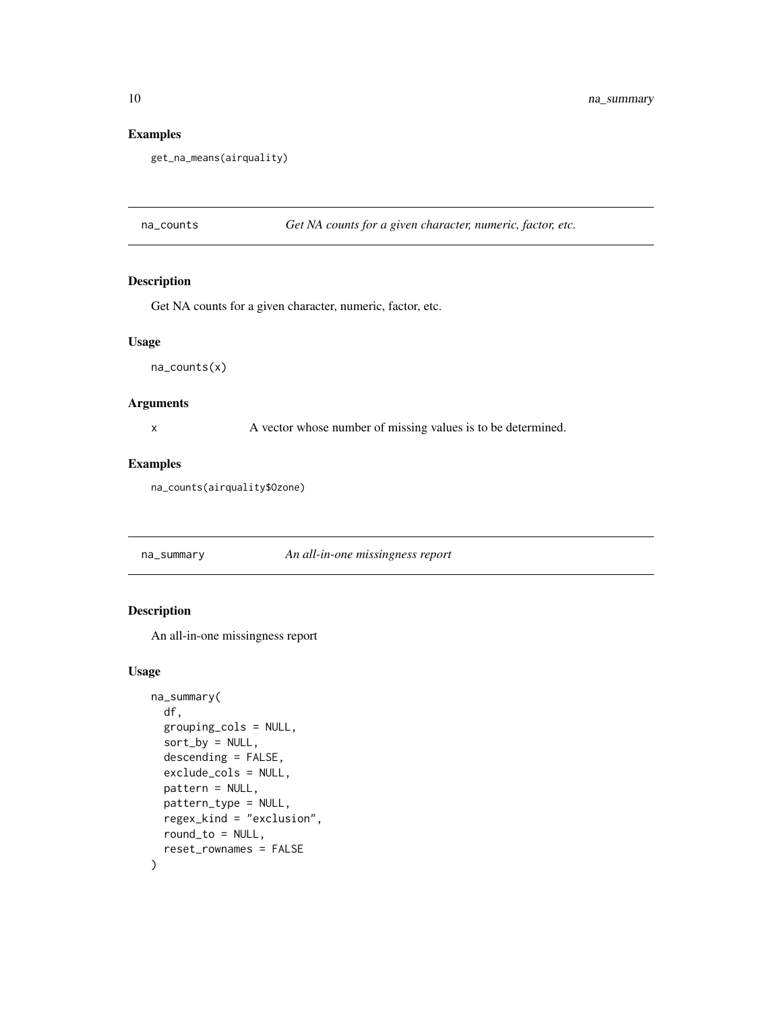# Examples

```
get_na_means(airquality)
```
na\_counts *Get NA counts for a given character, numeric, factor, etc.*

# Description

Get NA counts for a given character, numeric, factor, etc.

#### Usage

na\_counts(x)

#### Arguments

x A vector whose number of missing values is to be determined.

#### Examples

na\_counts(airquality\$Ozone)

na\_summary *An all-in-one missingness report*

#### Description

An all-in-one missingness report

#### Usage

```
na_summary(
 df,
  grouping_cols = NULL,
  sort_by = NULL,descending = FALSE,
  exclude_cols = NULL,
  pattern = NULL,
 pattern_type = NULL,
  regex_kind = "exclusion",
  round_to = NULL,
  reset_rownames = FALSE
\mathcal{E}
```
<span id="page-9-0"></span>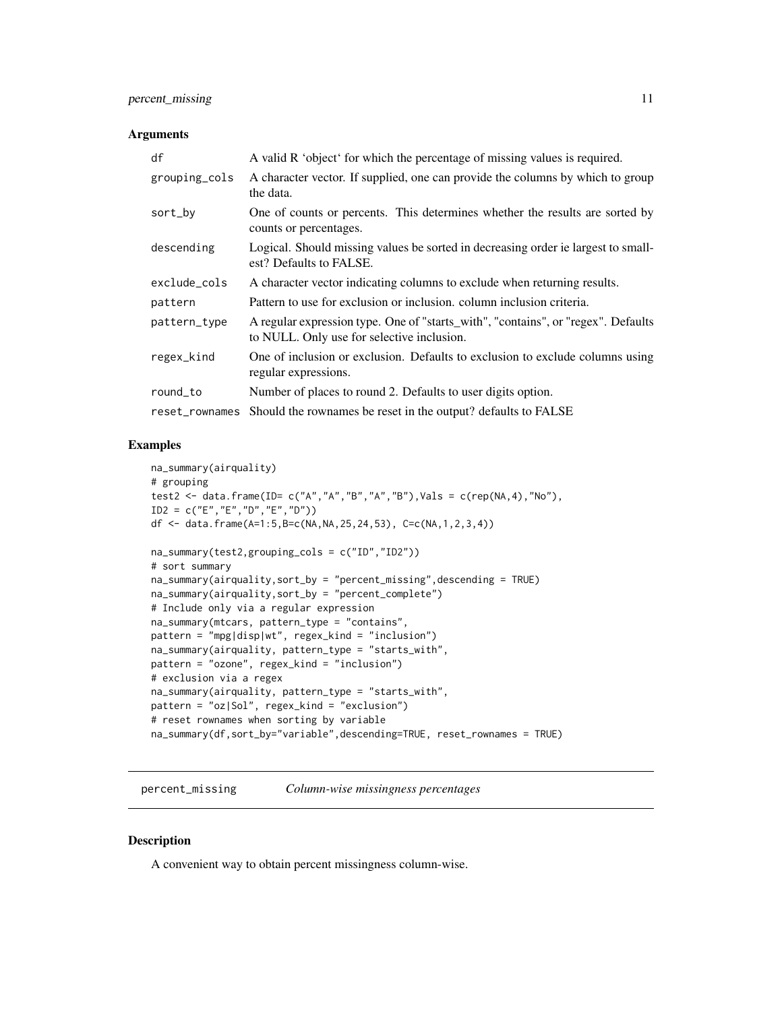#### <span id="page-10-0"></span>Arguments

| df             | A valid R 'object' for which the percentage of missing values is required.                                                      |
|----------------|---------------------------------------------------------------------------------------------------------------------------------|
| grouping_cols  | A character vector. If supplied, one can provide the columns by which to group<br>the data.                                     |
| sort_by        | One of counts or percents. This determines whether the results are sorted by<br>counts or percentages.                          |
| descending     | Logical. Should missing values be sorted in decreasing order ie largest to small-<br>est? Defaults to FALSE.                    |
| exclude_cols   | A character vector indicating columns to exclude when returning results.                                                        |
| pattern        | Pattern to use for exclusion or inclusion, column inclusion criteria.                                                           |
| pattern_type   | A regular expression type. One of "starts_with", "contains", or "regex". Defaults<br>to NULL. Only use for selective inclusion. |
| regex_kind     | One of inclusion or exclusion. Defaults to exclusion to exclude columns using<br>regular expressions.                           |
| round_to       | Number of places to round 2. Defaults to user digits option.                                                                    |
| reset_rownames | Should the rownames be reset in the output? defaults to FALSE                                                                   |

#### Examples

```
na_summary(airquality)
# grouping
test2 <- data.frame(ID= c("A","A","B","A","B"),Vals = c(rep(NA,4),"No"),
ID2 = c("E", "E", "D", "E", "D")df <- data.frame(A=1:5,B=c(NA,NA,25,24,53), C=c(NA,1,2,3,4))
na_summary(test2,grouping_cols = c("ID","ID2"))
# sort summary
na_summary(airquality,sort_by = "percent_missing",descending = TRUE)
na_summary(airquality,sort_by = "percent_complete")
# Include only via a regular expression
na_summary(mtcars, pattern_type = "contains",
pattern = "mpg|disp|wt", regex_kind = "inclusion")
na_summary(airquality, pattern_type = "starts_with",
pattern = "ozone", regex_kind = "inclusion")
# exclusion via a regex
na_summary(airquality, pattern_type = "starts_with",
pattern = "oz|Sol", regex_kind = "exclusion")
# reset rownames when sorting by variable
na_summary(df,sort_by="variable",descending=TRUE, reset_rownames = TRUE)
```
<span id="page-10-1"></span>percent\_missing *Column-wise missingness percentages*

#### Description

A convenient way to obtain percent missingness column-wise.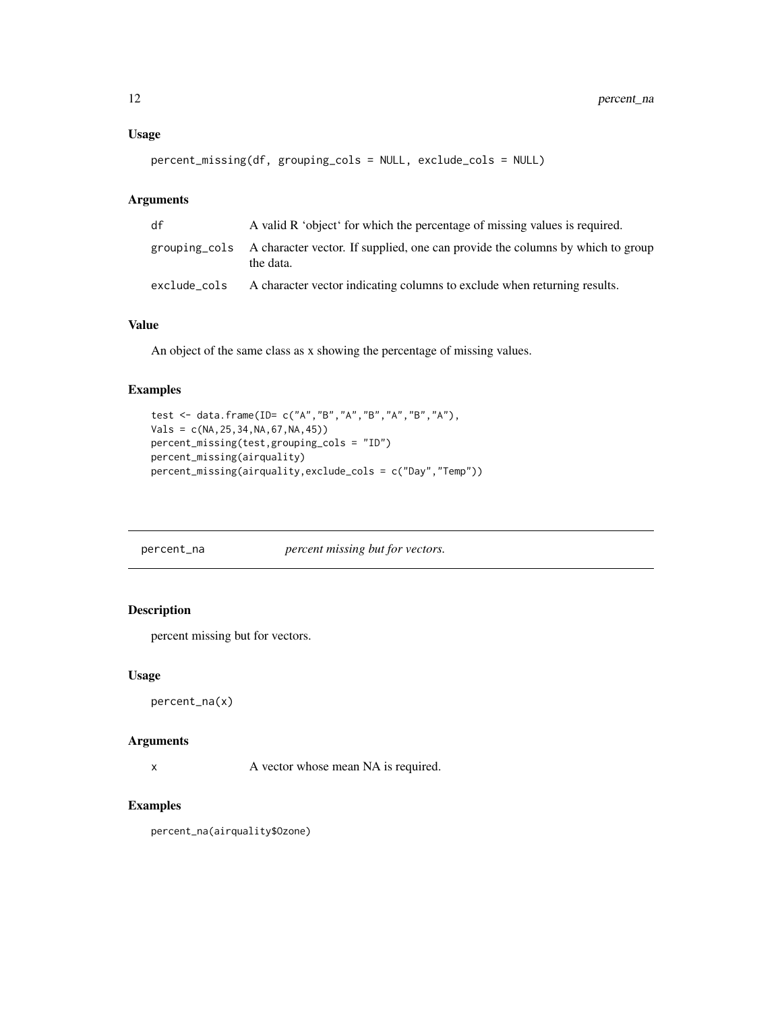#### <span id="page-11-0"></span>Usage

```
percent_missing(df, grouping_cols = NULL, exclude_cols = NULL)
```
#### Arguments

| df           | A valid R 'object' for which the percentage of missing values is required.                                |
|--------------|-----------------------------------------------------------------------------------------------------------|
|              | grouping cols A character vector. If supplied, one can provide the columns by which to group<br>the data. |
| exclude cols | A character vector indicating columns to exclude when returning results.                                  |

# Value

An object of the same class as x showing the percentage of missing values.

#### Examples

```
test <- data.frame(ID= c("A","B","A","B","A","B","A"),
Vals = c(NA, 25, 34, NA, 67, NA, 45))percent_missing(test,grouping_cols = "ID")
percent_missing(airquality)
percent_missing(airquality,exclude_cols = c("Day","Temp"))
```
percent\_na *percent missing but for vectors.*

# Description

percent missing but for vectors.

#### Usage

```
percent_na(x)
```
#### Arguments

x A vector whose mean NA is required.

#### Examples

percent\_na(airquality\$Ozone)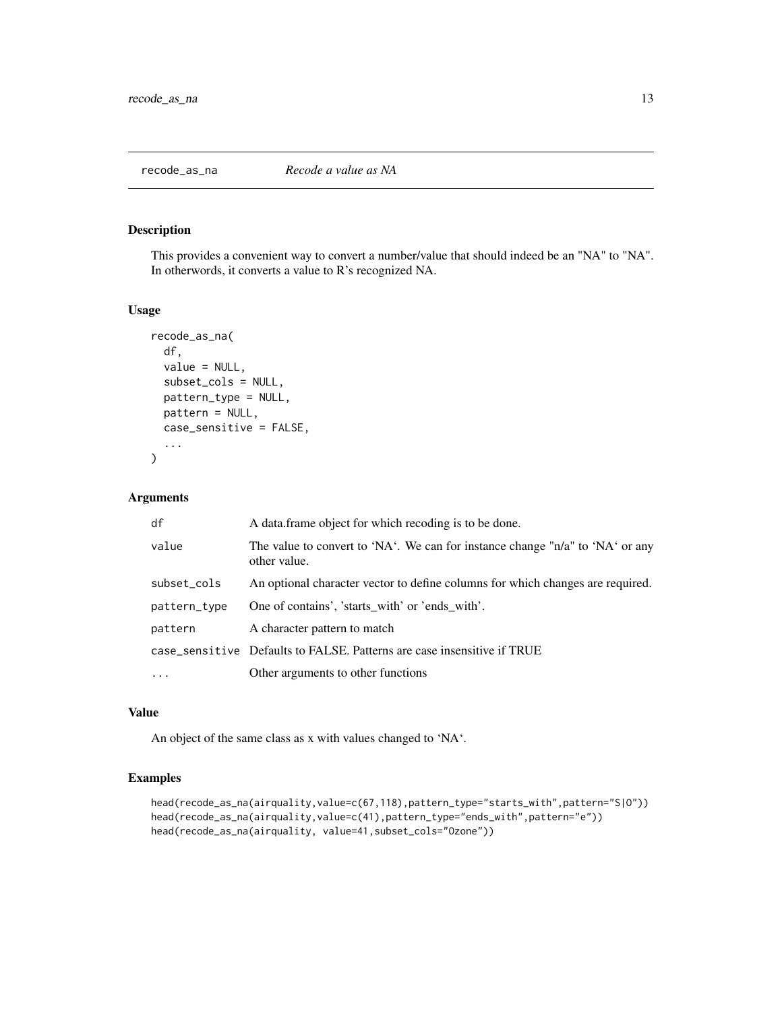<span id="page-12-1"></span><span id="page-12-0"></span>

This provides a convenient way to convert a number/value that should indeed be an "NA" to "NA". In otherwords, it converts a value to R's recognized NA.

#### Usage

```
recode_as_na(
  df,
  value = NULL,
  subset_cols = NULL,
  pattern_type = NULL,
 pattern = NULL,
  case_sensitive = FALSE,
  ...
)
```
# Arguments

| df           | A data frame object for which recoding is to be done.                                         |
|--------------|-----------------------------------------------------------------------------------------------|
| value        | The value to convert to 'NA'. We can for instance change "n/a" to 'NA' or any<br>other value. |
| subset_cols  | An optional character vector to define columns for which changes are required.                |
| pattern_type | One of contains', 'starts with' or 'ends with'.                                               |
| pattern      | A character pattern to match                                                                  |
|              | case_sensitive Defaults to FALSE. Patterns are case insensitive if TRUE                       |
|              | Other arguments to other functions                                                            |

#### Value

An object of the same class as x with values changed to 'NA'.

```
head(recode_as_na(airquality,value=c(67,118),pattern_type="starts_with",pattern="S|O"))
head(recode_as_na(airquality,value=c(41),pattern_type="ends_with",pattern="e"))
head(recode_as_na(airquality, value=41,subset_cols="Ozone"))
```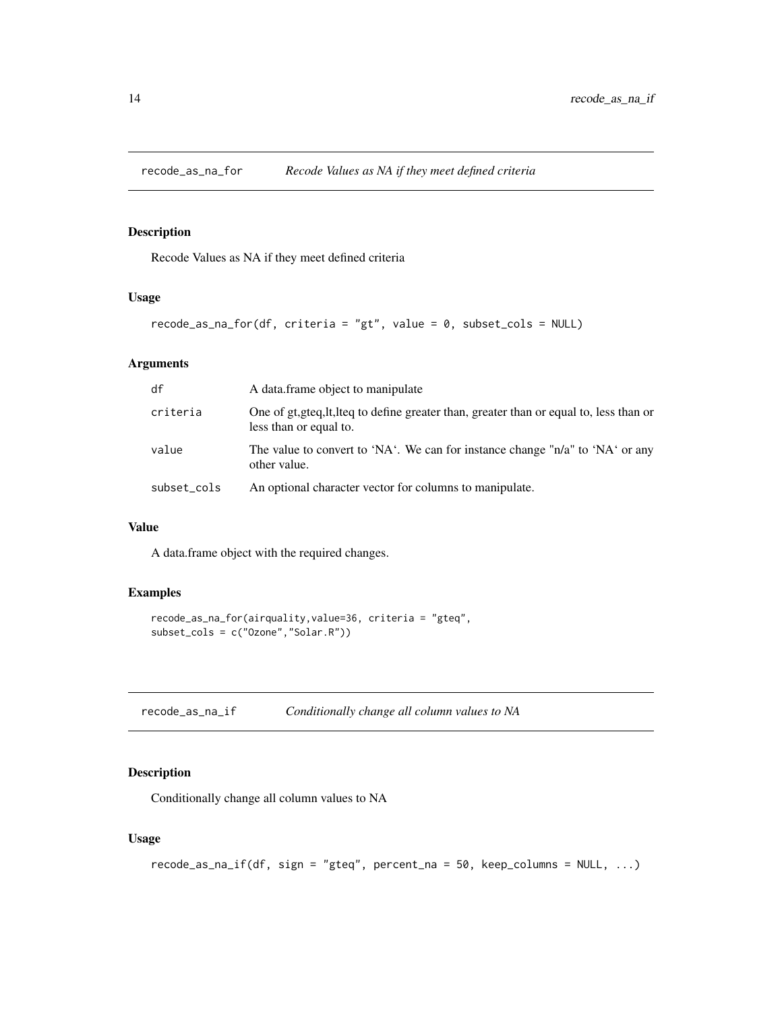<span id="page-13-0"></span>

Recode Values as NA if they meet defined criteria

# Usage

```
recode_as_na_for(df, criteria = "gt", value = 0, subset_cols = NULL)
```
#### Arguments

| df          | A data frame object to manipulate                                                                                  |
|-------------|--------------------------------------------------------------------------------------------------------------------|
| criteria    | One of gt, gteq, lt, lteq to define greater than, greater than or equal to, less than or<br>less than or equal to. |
| value       | The value to convert to 'NA'. We can for instance change "n/a" to 'NA' or any<br>other value.                      |
| subset_cols | An optional character vector for columns to manipulate.                                                            |

# Value

A data.frame object with the required changes.

# Examples

```
recode_as_na_for(airquality,value=36, criteria = "gteq",
subset_cols = c("Ozone","Solar.R"))
```
<span id="page-13-1"></span>recode\_as\_na\_if *Conditionally change all column values to NA*

# Description

Conditionally change all column values to NA

#### Usage

```
recode_as_na_if(df, sign = "gteq", percent_na = 50, keep_columns = NULL, ...)
```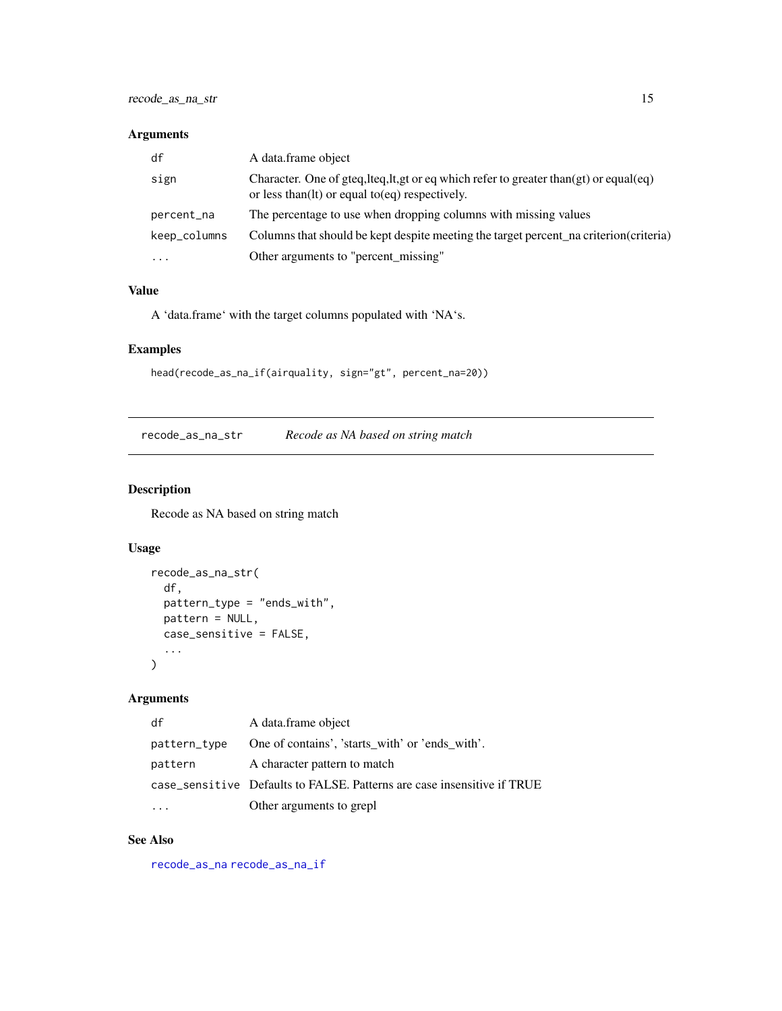#### <span id="page-14-0"></span>Arguments

| df           | A data frame object                                                                                                                             |
|--------------|-------------------------------------------------------------------------------------------------------------------------------------------------|
| sign         | Character. One of gteq, lteq, lt, gt or eq which refer to greater than(gt) or equal(eq)<br>or less than $(1t)$ or equal to $(eq)$ respectively. |
| percent_na   | The percentage to use when dropping columns with missing values                                                                                 |
| keep_columns | Columns that should be kept despite meeting the target percent na criterion (criteria)                                                          |
| $\cdots$     | Other arguments to "percent_missing"                                                                                                            |

#### Value

A 'data.frame' with the target columns populated with 'NA's.

# Examples

```
head(recode_as_na_if(airquality, sign="gt", percent_na=20))
```
recode\_as\_na\_str *Recode as NA based on string match*

# Description

Recode as NA based on string match

# Usage

```
recode_as_na_str(
  df,
  pattern_type = "ends_with",
  pattern = NULL,
  case_sensitive = FALSE,
  ...
\mathcal{L}
```
# Arguments

| df           | A data frame object                                                     |
|--------------|-------------------------------------------------------------------------|
| pattern_type | One of contains', 'starts with' or 'ends with'.                         |
| pattern      | A character pattern to match                                            |
|              | case_sensitive Defaults to FALSE. Patterns are case insensitive if TRUE |
|              | Other arguments to grepl                                                |

# See Also

[recode\\_as\\_na](#page-12-1) [recode\\_as\\_na\\_if](#page-13-1)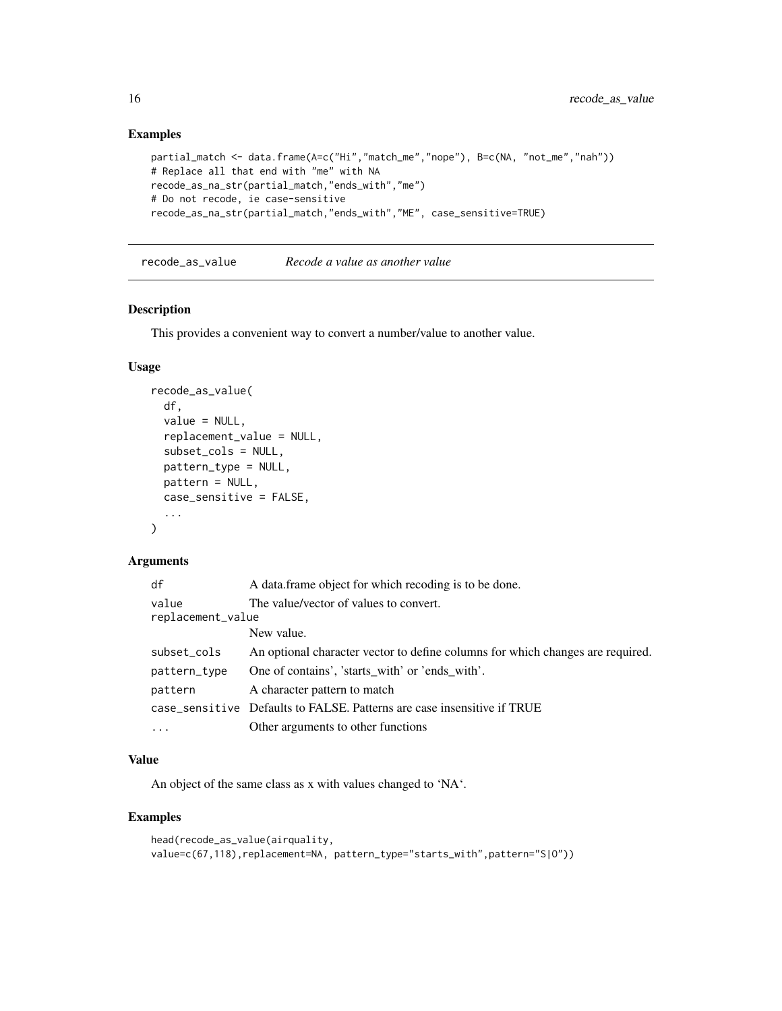#### Examples

```
partial_match <- data.frame(A=c("Hi","match_me","nope"), B=c(NA, "not_me","nah"))
# Replace all that end with "me" with NA
recode_as_na_str(partial_match,"ends_with","me")
# Do not recode, ie case-sensitive
recode_as_na_str(partial_match,"ends_with","ME", case_sensitive=TRUE)
```
recode\_as\_value *Recode a value as another value*

#### Description

This provides a convenient way to convert a number/value to another value.

#### Usage

```
recode_as_value(
  df,
  value = NULL,
  replacement_value = NULL,
  subset_cols = NULL,
 pattern_type = NULL,
 pattern = NULL,
  case_sensitive = FALSE,
  ...
\mathcal{L}
```
# Arguments

| df                         | A data frame object for which recoding is to be done.                          |
|----------------------------|--------------------------------------------------------------------------------|
| value<br>replacement_value | The value/vector of values to convert.                                         |
|                            | New value.                                                                     |
| subset_cols                | An optional character vector to define columns for which changes are required. |
| pattern_type               | One of contains', 'starts with' or 'ends with'.                                |
| pattern                    | A character pattern to match                                                   |
|                            | case_sensitive Defaults to FALSE. Patterns are case insensitive if TRUE        |
| $\ddots$ .                 | Other arguments to other functions                                             |

# Value

An object of the same class as x with values changed to 'NA'.

```
head(recode_as_value(airquality,
value=c(67,118),replacement=NA, pattern_type="starts_with",pattern="S|0"))
```
<span id="page-15-0"></span>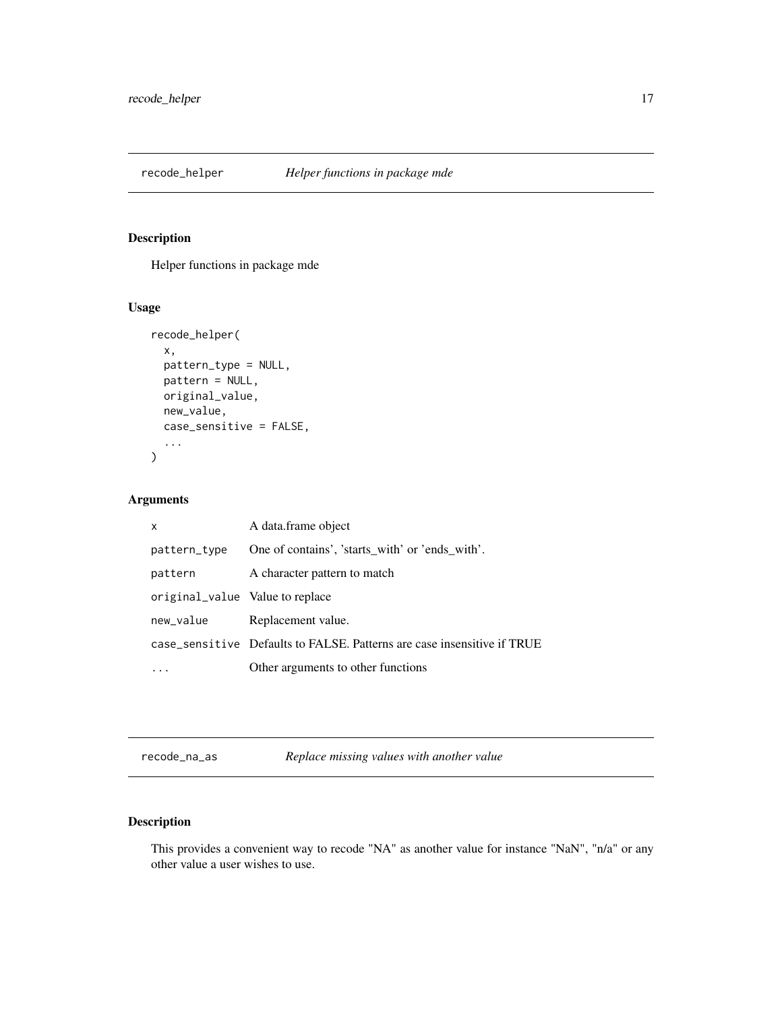<span id="page-16-0"></span>

Helper functions in package mde

# Usage

```
recode_helper(
  x,
  pattern_type = NULL,
  pattern = NULL,
  original_value,
  new_value,
  case_sensitive = FALSE,
  ...
\overline{\phantom{a}}
```
# Arguments

| X                               | A data.frame object                                                     |
|---------------------------------|-------------------------------------------------------------------------|
| pattern_type                    | One of contains', 'starts_with' or 'ends_with'.                         |
| pattern                         | A character pattern to match                                            |
| original_value Value to replace |                                                                         |
| new_value                       | Replacement value.                                                      |
|                                 | case_sensitive Defaults to FALSE. Patterns are case insensitive if TRUE |
|                                 | Other arguments to other functions                                      |

recode\_na\_as *Replace missing values with another value*

# Description

This provides a convenient way to recode "NA" as another value for instance "NaN", "n/a" or any other value a user wishes to use.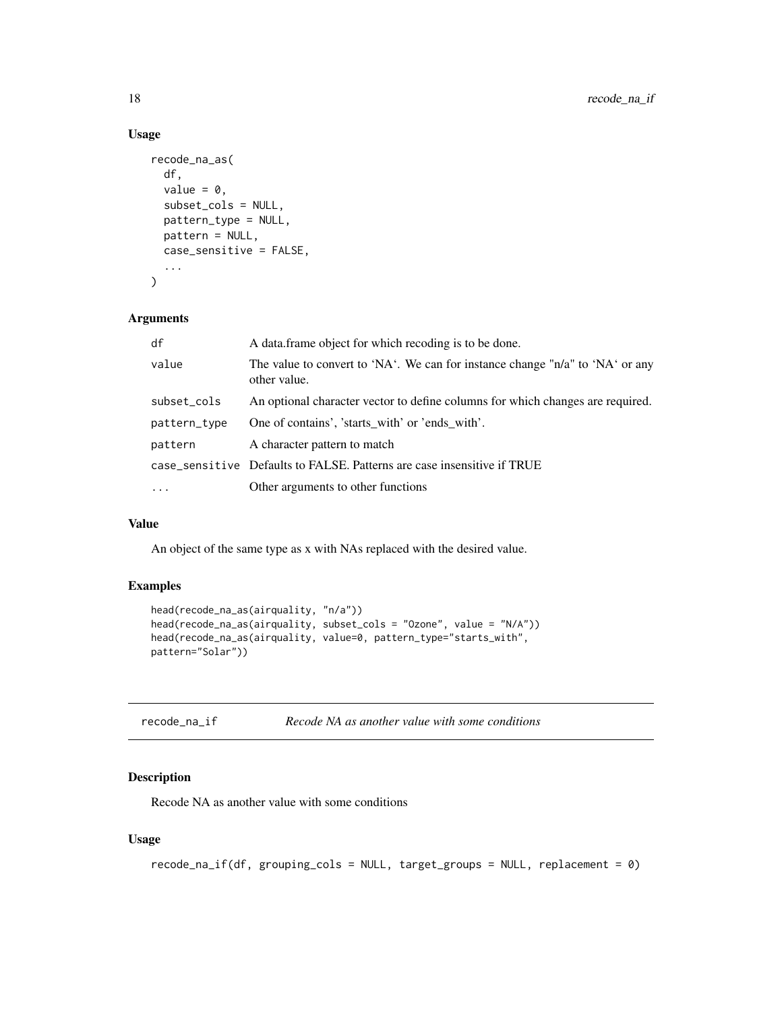#### Usage

```
recode_na_as(
  df,
  value = 0,
  subset_cols = NULL,
 pattern_type = NULL,
 pattern = NULL,
 case_sensitive = FALSE,
  ...
)
```
# Arguments

| df           | A data frame object for which recoding is to be done.                                         |
|--------------|-----------------------------------------------------------------------------------------------|
| value        | The value to convert to 'NA'. We can for instance change "n/a" to 'NA' or any<br>other value. |
| subset_cols  | An optional character vector to define columns for which changes are required.                |
| pattern_type | One of contains', 'starts with' or 'ends with'.                                               |
| pattern      | A character pattern to match                                                                  |
|              | case_sensitive Defaults to FALSE. Patterns are case insensitive if TRUE                       |
| $\ddotsc$    | Other arguments to other functions                                                            |

#### Value

An object of the same type as x with NAs replaced with the desired value.

#### Examples

```
head(recode_na_as(airquality, "n/a"))
head(recode_na_as(airquality, subset_cols = "Ozone", value = "N/A"))
head(recode_na_as(airquality, value=0, pattern_type="starts_with",
pattern="Solar"))
```

| recode_na_if | Recode NA as another value with some conditions |  |  |
|--------------|-------------------------------------------------|--|--|
|--------------|-------------------------------------------------|--|--|

# Description

Recode NA as another value with some conditions

#### Usage

```
recode_na_if(df, grouping_cols = NULL, target_groups = NULL, replacement = 0)
```
<span id="page-17-0"></span>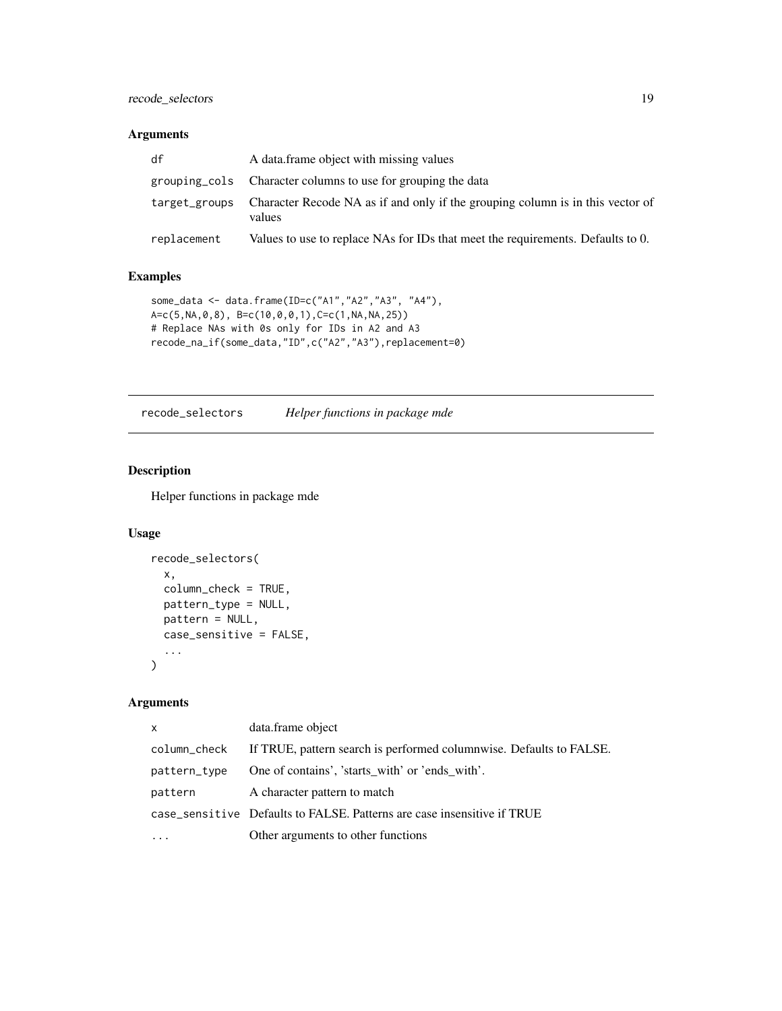# <span id="page-18-0"></span>recode\_selectors 19

#### Arguments

| df          | A data frame object with missing values                                                                |
|-------------|--------------------------------------------------------------------------------------------------------|
|             | grouping_cols Character columns to use for grouping the data                                           |
|             | target_groups Character Recode NA as if and only if the grouping column is in this vector of<br>values |
| replacement | Values to use to replace NAs for IDs that meet the requirements. Defaults to 0.                        |

#### Examples

```
some_data <- data.frame(ID=c("A1","A2","A3", "A4"),
A=c(5,NA,0,8), B=c(10,0,0,1),C=c(1,NA,NA,25))
# Replace NAs with 0s only for IDs in A2 and A3
recode_na_if(some_data,"ID",c("A2","A3"),replacement=0)
```
recode\_selectors *Helper functions in package mde*

# Description

Helper functions in package mde

# Usage

```
recode_selectors(
 x,
 column_check = TRUE,
 pattern_type = NULL,
 pattern = NULL,
 case_sensitive = FALSE,
  ...
\mathcal{L}
```
#### Arguments

| $\mathsf{x}$ | data.frame object                                                       |
|--------------|-------------------------------------------------------------------------|
| column_check | If TRUE, pattern search is performed columnwise. Defaults to FALSE.     |
| pattern_type | One of contains', 'starts with' or 'ends with'.                         |
| pattern      | A character pattern to match                                            |
|              | case_sensitive Defaults to FALSE. Patterns are case insensitive if TRUE |
|              | Other arguments to other functions                                      |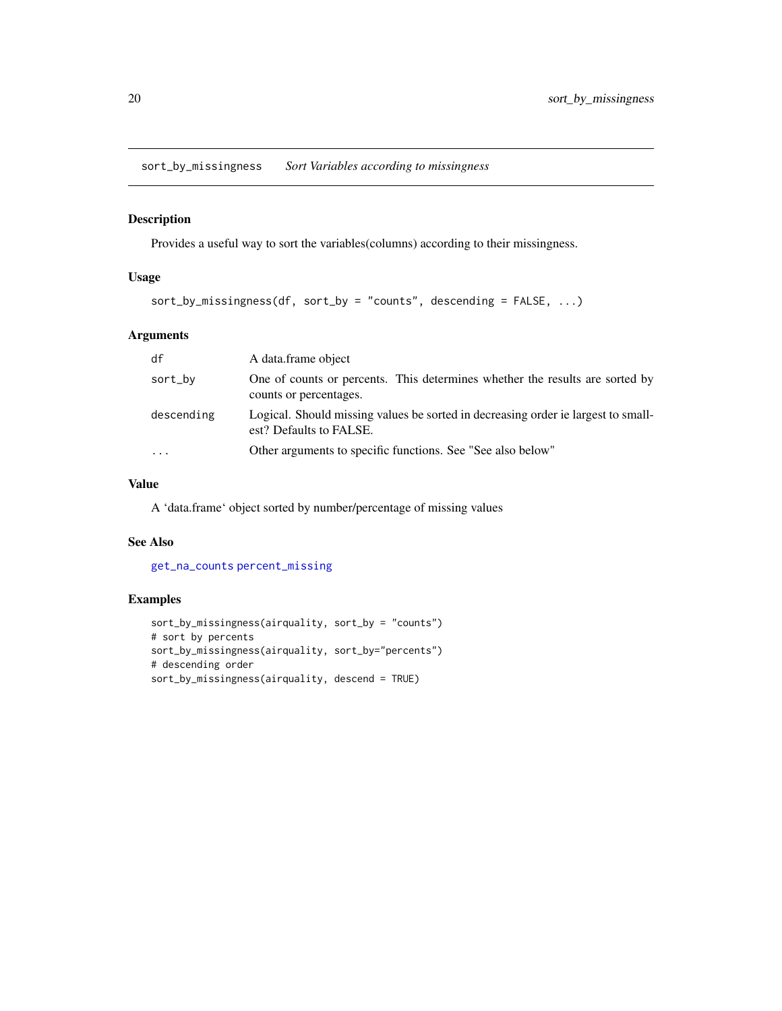<span id="page-19-0"></span>sort\_by\_missingness *Sort Variables according to missingness*

# Description

Provides a useful way to sort the variables(columns) according to their missingness.

# Usage

```
sort_by_missingness(df, sort_by = "counts", descending = FALSE, ...)
```
# Arguments

| df         | A data frame object                                                                                          |
|------------|--------------------------------------------------------------------------------------------------------------|
| sort_by    | One of counts or percents. This determines whether the results are sorted by<br>counts or percentages.       |
| descending | Logical. Should missing values be sorted in decreasing order ie largest to small-<br>est? Defaults to FALSE. |
| $\cdot$    | Other arguments to specific functions. See "See also below"                                                  |

# Value

A 'data.frame' object sorted by number/percentage of missing values

# See Also

[get\\_na\\_counts](#page-8-1) [percent\\_missing](#page-10-1)

```
sort_by_missingness(airquality, sort_by = "counts")
# sort by percents
sort_by_missingness(airquality, sort_by="percents")
# descending order
sort_by_missingness(airquality, descend = TRUE)
```